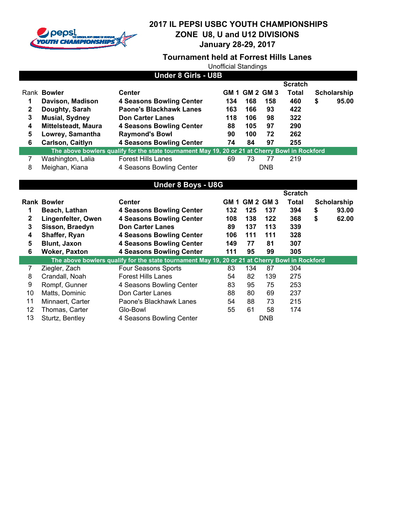

#### **Tournament held at Forrest Hills Lanes**

Unofficial Standings

| <b>Under 8 Girls - U8B</b> |                                                                                                |                                 |     |                |            |                |    |             |  |
|----------------------------|------------------------------------------------------------------------------------------------|---------------------------------|-----|----------------|------------|----------------|----|-------------|--|
|                            |                                                                                                |                                 |     |                |            | <b>Scratch</b> |    |             |  |
|                            | Rank Bowler                                                                                    | Center                          |     | GM 1 GM 2 GM 3 |            | Total          |    | Scholarship |  |
| 1                          | Davison, Madison                                                                               | <b>4 Seasons Bowling Center</b> | 134 | 168            | 158        | 460            | \$ | 95.00       |  |
| 2                          | Doughty, Sarah                                                                                 | Paone's Blackhawk Lanes         | 163 | 166            | 93         | 422            |    |             |  |
| 3                          | <b>Musial, Sydney</b>                                                                          | <b>Don Carter Lanes</b>         | 118 | 106            | 98         | 322            |    |             |  |
| 4                          | <b>Mittelsteadt, Maura</b>                                                                     | 4 Seasons Bowling Center        | 88  | 105            | 97         | 290            |    |             |  |
| 5                          | Lowrey, Samantha                                                                               | <b>Raymond's Bowl</b>           | 90  | 100            | 72         | 262            |    |             |  |
| 6                          | Carlson, Caitlyn                                                                               | <b>4 Seasons Bowling Center</b> | 74  | 84             | 97         | 255            |    |             |  |
|                            | The above bowlers qualify for the state tournament May 19, 20 or 21 at Cherry Bowl in Rockford |                                 |     |                |            |                |    |             |  |
|                            | Washington, Lalia                                                                              | <b>Forest Hills Lanes</b>       | 69  | 73             | 77         | 219            |    |             |  |
| 8                          | Meighan, Kiana                                                                                 | 4 Seasons Bowling Center        |     |                | <b>DNB</b> |                |    |             |  |

# **Under 8 Boys - U8G**

|              |                      |                                                                                                |      |                  |     | <b>Scratch</b> |             |
|--------------|----------------------|------------------------------------------------------------------------------------------------|------|------------------|-----|----------------|-------------|
|              | <b>Rank Bowler</b>   | <b>Center</b>                                                                                  | GM 1 | <b>GM 2 GM 3</b> |     | Total          | Scholarship |
|              | Beach, Lathan        | 4 Seasons Bowling Center                                                                       | 132  | 125              | 137 | 394            | \$<br>93.00 |
| $\mathbf{2}$ | Lingenfelter, Owen   | <b>4 Seasons Bowling Center</b>                                                                | 108  | 138              | 122 | 368            | \$<br>62.00 |
| 3            | Sisson, Braedyn      | <b>Don Carter Lanes</b>                                                                        | 89   | 137              | 113 | 339            |             |
| 4            | Shaffer, Ryan        | 4 Seasons Bowling Center                                                                       | 106  | 111              | 111 | 328            |             |
| 5            | Blunt, Jaxon         | <b>4 Seasons Bowling Center</b>                                                                | 149  | 77               | 81  | 307            |             |
| 6            | <b>Woker, Paxton</b> | <b>4 Seasons Bowling Center</b>                                                                | 111  | 95               | 99  | 305            |             |
|              |                      |                                                                                                |      |                  |     |                |             |
|              |                      | The above bowlers qualify for the state tournament May 19, 20 or 21 at Cherry Bowl in Rockford |      |                  |     |                |             |
|              | Ziegler, Zach        | Four Seasons Sports                                                                            | 83   | 134              | 87  | 304            |             |
| 8            | Crandall, Noah       | <b>Forest Hills Lanes</b>                                                                      | 54   | 82               | 139 | 275            |             |
| 9            | Rompf, Gunner        | 4 Seasons Bowling Center                                                                       | 83   | 95               | 75  | 253            |             |
| 10           | Matts, Dominic       | Don Carter Lanes                                                                               | 88   | 80               | 69  | 237            |             |
| 11           | Minnaert, Carter     | Paone's Blackhawk Lanes                                                                        | 54   | 88               | 73  | 215            |             |
| 12           | Thomas, Carter       | Glo-Bowl                                                                                       | 55   | 61               | 58  | 174            |             |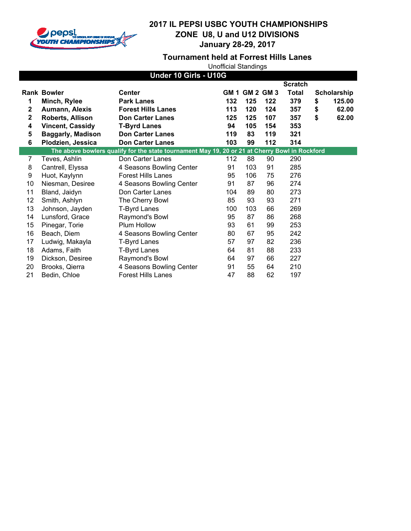

**Tournament held at Forrest Hills Lanes**

| Under 10 Girls - U10G |                          |                                                                                                |     |                |     |                |    |             |
|-----------------------|--------------------------|------------------------------------------------------------------------------------------------|-----|----------------|-----|----------------|----|-------------|
|                       |                          |                                                                                                |     |                |     | <b>Scratch</b> |    |             |
|                       | <b>Rank Bowler</b>       | <b>Center</b>                                                                                  |     | GM 1 GM 2 GM 3 |     | <b>Total</b>   |    | Scholarship |
| 1                     | Minch, Rylee             | <b>Park Lanes</b>                                                                              | 132 | 125            | 122 | 379            | \$ | 125.00      |
| $\mathbf{2}$          | Aumann, Alexis           | <b>Forest Hills Lanes</b>                                                                      | 113 | 120            | 124 | 357            | \$ | 62.00       |
| $\mathbf{2}$          | Roberts, Allison         | <b>Don Carter Lanes</b>                                                                        | 125 | 125            | 107 | 357            | \$ | 62.00       |
| 4                     | <b>Vincent, Cassidy</b>  | <b>T-Byrd Lanes</b>                                                                            | 94  | 105            | 154 | 353            |    |             |
| 5                     | <b>Baggarly, Madison</b> | <b>Don Carter Lanes</b>                                                                        | 119 | 83             | 119 | 321            |    |             |
| 6                     | Plodzien, Jessica        | <b>Don Carter Lanes</b>                                                                        | 103 | 99             | 112 | 314            |    |             |
|                       |                          | The above bowlers qualify for the state tournament May 19, 20 or 21 at Cherry Bowl in Rockford |     |                |     |                |    |             |
| 7                     | Teves, Ashlin            | Don Carter Lanes                                                                               | 112 | 88             | 90  | 290            |    |             |
| 8                     | Cantrell, Elyssa         | 4 Seasons Bowling Center                                                                       | 91  | 103            | 91  | 285            |    |             |
| 9                     | Huot, Kaylynn            | <b>Forest Hills Lanes</b>                                                                      | 95  | 106            | 75  | 276            |    |             |
| 10                    | Niesman, Desiree         | 4 Seasons Bowling Center                                                                       | 91  | 87             | 96  | 274            |    |             |
| 11                    | Bland, Jaidyn            | Don Carter Lanes                                                                               | 104 | 89             | 80  | 273            |    |             |
| 12                    | Smith, Ashlyn            | The Cherry Bowl                                                                                | 85  | 93             | 93  | 271            |    |             |
| 13                    | Johnson, Jayden          | <b>T-Byrd Lanes</b>                                                                            | 100 | 103            | 66  | 269            |    |             |
| 14                    | Lunsford, Grace          | Raymond's Bowl                                                                                 | 95  | 87             | 86  | 268            |    |             |
| 15                    | Pinegar, Torie           | Plum Hollow                                                                                    | 93  | 61             | 99  | 253            |    |             |
| 16                    | Beach, Diem              | 4 Seasons Bowling Center                                                                       | 80  | 67             | 95  | 242            |    |             |
| 17                    | Ludwig, Makayla          | <b>T-Byrd Lanes</b>                                                                            | 57  | 97             | 82  | 236            |    |             |
| 18                    | Adams, Faith             | <b>T-Byrd Lanes</b>                                                                            | 64  | 81             | 88  | 233            |    |             |
| 19                    | Dickson, Desiree         | Raymond's Bowl                                                                                 | 64  | 97             | 66  | 227            |    |             |
| 20                    | Brooks, Qierra           | 4 Seasons Bowling Center                                                                       | 91  | 55             | 64  | 210            |    |             |
| 21                    | Bedin, Chloe             | <b>Forest Hills Lanes</b>                                                                      | 47  | 88             | 62  | 197            |    |             |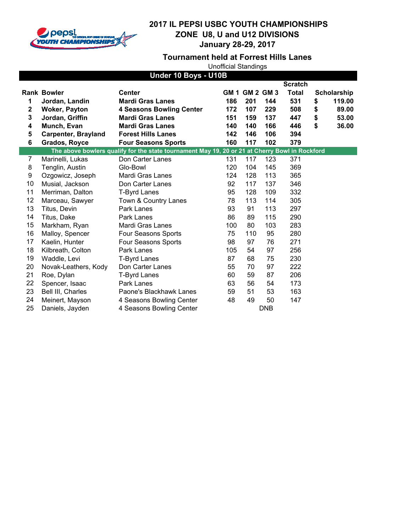

**Tournament held at Forrest Hills Lanes**

| Under 10 Boys - U10B |                            |                                                                                                |     |                       |            |                |    |             |
|----------------------|----------------------------|------------------------------------------------------------------------------------------------|-----|-----------------------|------------|----------------|----|-------------|
|                      |                            |                                                                                                |     |                       |            | <b>Scratch</b> |    |             |
|                      | <b>Rank Bowler</b>         | <b>Center</b>                                                                                  |     | <b>GM 1 GM 2 GM 3</b> |            | Total          |    | Scholarship |
| 1                    | Jordan, Landin             | <b>Mardi Gras Lanes</b>                                                                        | 186 | 201                   | 144        | 531            | \$ | 119.00      |
| 2                    | <b>Woker, Payton</b>       | <b>4 Seasons Bowling Center</b>                                                                | 172 | 107                   | 229        | 508            | \$ | 89.00       |
| 3                    | Jordan, Griffin            | <b>Mardi Gras Lanes</b>                                                                        | 151 | 159                   | 137        | 447            | \$ | 53.00       |
| 4                    | Munch, Evan                | <b>Mardi Gras Lanes</b>                                                                        | 140 | 140                   | 166        | 446            | \$ | 36.00       |
| 5                    | <b>Carpenter, Brayland</b> | <b>Forest Hills Lanes</b>                                                                      | 142 | 146                   | 106        | 394            |    |             |
| 6                    | Grados, Royce              | <b>Four Seasons Sports</b>                                                                     | 160 | 117                   | 102        | 379            |    |             |
|                      |                            | The above bowlers qualify for the state tournament May 19, 20 or 21 at Cherry Bowl in Rockford |     |                       |            |                |    |             |
| 7                    | Marinelli, Lukas           | Don Carter Lanes                                                                               | 131 | 117                   | 123        | 371            |    |             |
| 8                    | Tenglin, Austin            | Glo-Bowl                                                                                       | 120 | 104                   | 145        | 369            |    |             |
| 9                    | Ozgowicz, Joseph           | Mardi Gras Lanes                                                                               | 124 | 128                   | 113        | 365            |    |             |
| 10                   | Musial, Jackson            | Don Carter Lanes                                                                               | 92  | 117                   | 137        | 346            |    |             |
| 11                   | Merriman, Dalton           | <b>T-Byrd Lanes</b>                                                                            | 95  | 128                   | 109        | 332            |    |             |
| 12                   | Marceau, Sawyer            | Town & Country Lanes                                                                           | 78  | 113                   | 114        | 305            |    |             |
| 13                   | Titus, Devin               | Park Lanes                                                                                     | 93  | 91                    | 113        | 297            |    |             |
| 14                   | Titus, Dake                | Park Lanes                                                                                     | 86  | 89                    | 115        | 290            |    |             |
| 15                   | Markham, Ryan              | Mardi Gras Lanes                                                                               | 100 | 80                    | 103        | 283            |    |             |
| 16                   | Malloy, Spencer            | Four Seasons Sports                                                                            | 75  | 110                   | 95         | 280            |    |             |
| 17                   | Kaelin, Hunter             | Four Seasons Sports                                                                            | 98  | 97                    | 76         | 271            |    |             |
| 18                   | Kilbreath, Colton          | Park Lanes                                                                                     | 105 | 54                    | 97         | 256            |    |             |
| 19                   | Waddle, Levi               | <b>T-Byrd Lanes</b>                                                                            | 87  | 68                    | 75         | 230            |    |             |
| 20                   | Novak-Leathers, Kody       | Don Carter Lanes                                                                               | 55  | 70                    | 97         | 222            |    |             |
| 21                   | Roe, Dylan                 | <b>T-Byrd Lanes</b>                                                                            | 60  | 59                    | 87         | 206            |    |             |
| 22                   | Spencer, Isaac             | Park Lanes                                                                                     | 63  | 56                    | 54         | 173            |    |             |
| 23                   | Bell III, Charles          | Paone's Blackhawk Lanes                                                                        | 59  | 51                    | 53         | 163            |    |             |
| 24                   | Meinert, Mayson            | 4 Seasons Bowling Center                                                                       | 48  | 49                    | 50         | 147            |    |             |
| 25                   | Daniels, Jayden            | 4 Seasons Bowling Center                                                                       |     |                       | <b>DNB</b> |                |    |             |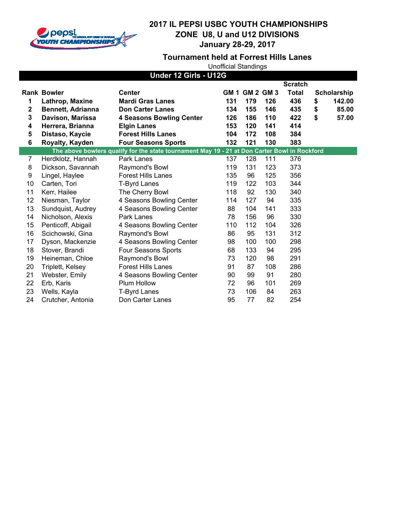

**Tournament held at Forrest Hills Lanes**

| Under 12 Girls - U12G   |                          |                                                                                               |     |                       |     |                |    |             |
|-------------------------|--------------------------|-----------------------------------------------------------------------------------------------|-----|-----------------------|-----|----------------|----|-------------|
|                         |                          |                                                                                               |     |                       |     | <b>Scratch</b> |    |             |
|                         | <b>Rank Bowler</b>       | <b>Center</b>                                                                                 |     | <b>GM 1 GM 2 GM 3</b> |     | Total          |    | Scholarship |
| 1                       | Lathrop, Maxine          | <b>Mardi Gras Lanes</b>                                                                       | 131 | 179                   | 126 | 436            | \$ | 142.00      |
| $\overline{\mathbf{2}}$ | <b>Bennett, Adrianna</b> | <b>Don Carter Lanes</b>                                                                       | 134 | 155                   | 146 | 435            | \$ | 85.00       |
| 3                       | Davison, Marissa         | <b>4 Seasons Bowling Center</b>                                                               | 126 | 186                   | 110 | 422            | \$ | 57.00       |
| 4                       | Herrera, Brianna         | <b>Elgin Lanes</b>                                                                            | 153 | 120                   | 141 | 414            |    |             |
| 5                       | Distaso, Kaycie          | <b>Forest Hills Lanes</b>                                                                     | 104 | 172                   | 108 | 384            |    |             |
| 6                       | Royalty, Kayden          | <b>Four Seasons Sports</b>                                                                    | 132 | 121                   | 130 | 383            |    |             |
|                         |                          | The above bowlers qualify for the state tournament May 19 - 21 at Don Carter Bowl in Rockford |     |                       |     |                |    |             |
| $\overline{7}$          | Herdklotz, Hannah        | Park Lanes                                                                                    | 137 | 128                   | 111 | 376            |    |             |
| 8                       | Dickson, Savannah        | Raymond's Bowl                                                                                | 119 | 131                   | 123 | 373            |    |             |
| 9                       | Lingel, Haylee           | <b>Forest Hills Lanes</b>                                                                     | 135 | 96                    | 125 | 356            |    |             |
| 10                      | Carten, Tori             | <b>T-Byrd Lanes</b>                                                                           | 119 | 122                   | 103 | 344            |    |             |
| 11                      | Kerr, Hailee             | The Cherry Bowl                                                                               | 118 | 92                    | 130 | 340            |    |             |
| 12                      | Niesman, Taylor          | 4 Seasons Bowling Center                                                                      | 114 | 127                   | 94  | 335            |    |             |
| 13                      | Sundquist, Audrey        | 4 Seasons Bowling Center                                                                      | 88  | 104                   | 141 | 333            |    |             |
| 14                      | Nicholson, Alexis        | Park Lanes                                                                                    | 78  | 156                   | 96  | 330            |    |             |
| 15                      | Penticoff, Abigail       | 4 Seasons Bowling Center                                                                      | 110 | 112                   | 104 | 326            |    |             |
| 16                      | Scichowski, Gina         | Raymond's Bowl                                                                                | 86  | 95                    | 131 | 312            |    |             |
| 17                      | Dyson, Mackenzie         | 4 Seasons Bowling Center                                                                      | 98  | 100                   | 100 | 298            |    |             |
| 18                      | Stover, Brandi           | Four Seasons Sports                                                                           | 68  | 133                   | 94  | 295            |    |             |
| 19                      | Heineman, Chloe          | Raymond's Bowl                                                                                | 73  | 120                   | 98  | 291            |    |             |
| 20                      | Triplett, Kelsey         | <b>Forest Hills Lanes</b>                                                                     | 91  | 87                    | 108 | 286            |    |             |
| 21                      | Webster, Emily           | 4 Seasons Bowling Center                                                                      | 90  | 99                    | 91  | 280            |    |             |
| 22                      | Erb, Karis               | Plum Hollow                                                                                   | 72  | 96                    | 101 | 269            |    |             |
| 23                      | Wells, Kayla             | <b>T-Byrd Lanes</b>                                                                           | 73  | 106                   | 84  | 263            |    |             |
| 24                      | Crutcher, Antonia        | Don Carter Lanes                                                                              | 95  | 77                    | 82  | 254            |    |             |